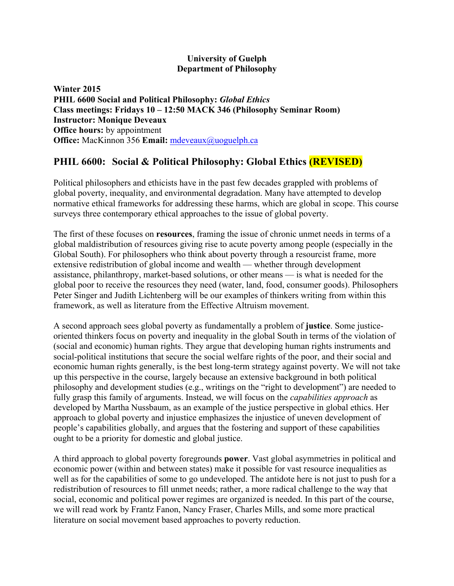## **University of Guelph Department of Philosophy**

**Winter 2015 PHIL 6600 Social and Political Philosophy:** *Global Ethics* **Class meetings: Fridays 10 – 12:50 MACK 346 (Philosophy Seminar Room) Instructor: Monique Deveaux Office hours:** by appointment **Office:** MacKinnon 356 **Email:** mdeveaux@uoguelph.ca

# **PHIL 6600: Social & Political Philosophy: Global Ethics (REVISED)**

Political philosophers and ethicists have in the past few decades grappled with problems of global poverty, inequality, and environmental degradation. Many have attempted to develop normative ethical frameworks for addressing these harms, which are global in scope. This course surveys three contemporary ethical approaches to the issue of global poverty.

The first of these focuses on **resources**, framing the issue of chronic unmet needs in terms of a global maldistribution of resources giving rise to acute poverty among people (especially in the Global South). For philosophers who think about poverty through a resourcist frame, more extensive redistribution of global income and wealth — whether through development assistance, philanthropy, market-based solutions, or other means — is what is needed for the global poor to receive the resources they need (water, land, food, consumer goods). Philosophers Peter Singer and Judith Lichtenberg will be our examples of thinkers writing from within this framework, as well as literature from the Effective Altruism movement.

A second approach sees global poverty as fundamentally a problem of **justice**. Some justiceoriented thinkers focus on poverty and inequality in the global South in terms of the violation of (social and economic) human rights. They argue that developing human rights instruments and social-political institutions that secure the social welfare rights of the poor, and their social and economic human rights generally, is the best long-term strategy against poverty. We will not take up this perspective in the course, largely because an extensive background in both political philosophy and development studies (e.g., writings on the "right to development") are needed to fully grasp this family of arguments. Instead, we will focus on the *capabilities approach* as developed by Martha Nussbaum, as an example of the justice perspective in global ethics. Her approach to global poverty and injustice emphasizes the injustice of uneven development of people's capabilities globally, and argues that the fostering and support of these capabilities ought to be a priority for domestic and global justice.

A third approach to global poverty foregrounds **power**. Vast global asymmetries in political and economic power (within and between states) make it possible for vast resource inequalities as well as for the capabilities of some to go undeveloped. The antidote here is not just to push for a redistribution of resources to fill unmet needs; rather, a more radical challenge to the way that social, economic and political power regimes are organized is needed. In this part of the course, we will read work by Frantz Fanon, Nancy Fraser, Charles Mills, and some more practical literature on social movement based approaches to poverty reduction.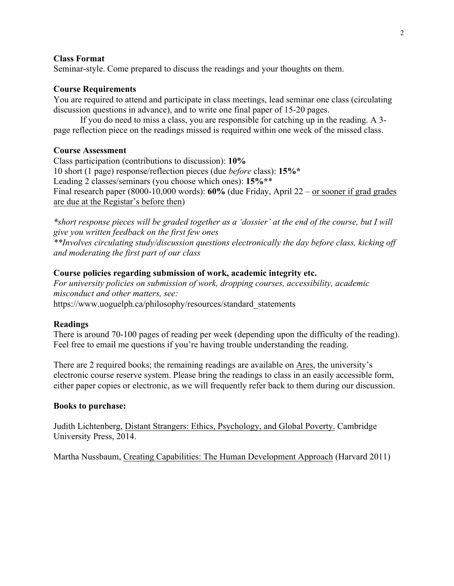#### **Class Format**

Seminar-style. Come prepared to discuss the readings and your thoughts on them.

### **Course Requirements**

You are required to attend and participate in class meetings, lead seminar one class (circulating discussion questions in advance), and to write one final paper of 15-20 pages.

If you do need to miss a class, you are responsible for catching up in the reading. A 3 page reflection piece on the readings missed is required within one week of the missed class.

#### **Course Assessment**

Class participation (contributions to discussion): **10%** 10 short (1 page) response/reflection pieces (due *before* class): **15%\*** Leading 2 classes/seminars (you choose which ones): **15%\***\* Final research paper (8000-10,000 words): **60%** (due Friday, April 22 – or sooner if grad grades are due at the Registar's before then)

*\*short response pieces will be graded together as a 'dossier' at the end of the course, but I will give you written feedback on the first few ones \*\*Involves circulating study/discussion questions electronically the day before class, kicking off and moderating the first part of our class*

### **Course policies regarding submission of work, academic integrity etc.**

*For university policies on submission of work, dropping courses, accessibility, academic misconduct and other matters, see:* https://www.uoguelph.ca/philosophy/resources/standard\_statements

### **Readings**

There is around 70-100 pages of reading per week (depending upon the difficulty of the reading). Feel free to email me questions if you're having trouble understanding the reading.

There are 2 required books; the remaining readings are available on Ares, the university's electronic course reserve system. Please bring the readings to class in an easily accessible form, either paper copies or electronic, as we will frequently refer back to them during our discussion.

#### **Books to purchase:**

Judith Lichtenberg, Distant Strangers: Ethics, Psychology, and Global Poverty. Cambridge University Press, 2014.

Martha Nussbaum, Creating Capabilities: The Human Development Approach (Harvard 2011)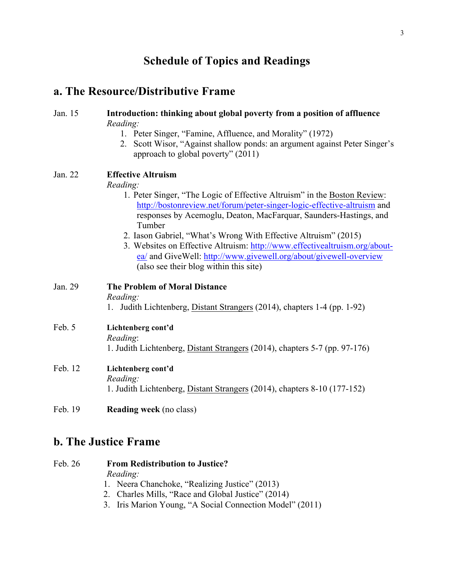# **Schedule of Topics and Readings**

# **a. The Resource/Distributive Frame**

# Jan. 15 **Introduction: thinking about global poverty from a position of affluence** *Reading:* 1. Peter Singer, "Famine, Affluence, and Morality" (1972) 2. Scott Wisor, "Against shallow ponds: an argument against Peter Singer's approach to global poverty" (2011) Jan. 22 **Effective Altruism** *Reading:* 1. Peter Singer, "The Logic of Effective Altruism" in the Boston Review: http://bostonreview.net/forum/peter-singer-logic-effective-altruism and responses by Acemoglu, Deaton, MacFarquar, Saunders-Hastings, and Tumber 2. Iason Gabriel, "What's Wrong With Effective Altruism" (2015) 3. Websites on Effective Altruism: http://www.effectivealtruism.org/aboutea/ and GiveWell: http://www.givewell.org/about/givewell-overview (also see their blog within this site) Jan. 29 **The Problem of Moral Distance** *Reading:* 1. Judith Lichtenberg, Distant Strangers (2014), chapters 1-4 (pp. 1-92) Feb. 5 **Lichtenberg cont'd** *Reading*: 1. Judith Lichtenberg, Distant Strangers (2014), chapters 5-7 (pp. 97-176) Feb. 12 **Lichtenberg cont'd** *Reading:* 1. Judith Lichtenberg, Distant Strangers (2014), chapters 8-10 (177-152) Feb. 19 **Reading week** (no class)

# **b. The Justice Frame**

| Feb. 26 | <b>From Redistribution to Justice?</b>                   |
|---------|----------------------------------------------------------|
|         | Reading:                                                 |
|         | 1. Neera Chanchoke, "Realizing Justice" (2013)           |
|         | 2. Charles Mills, "Race and Global Justice" (2014)       |
|         | 3. Iris Marion Young, "A Social Connection Model" (2011) |